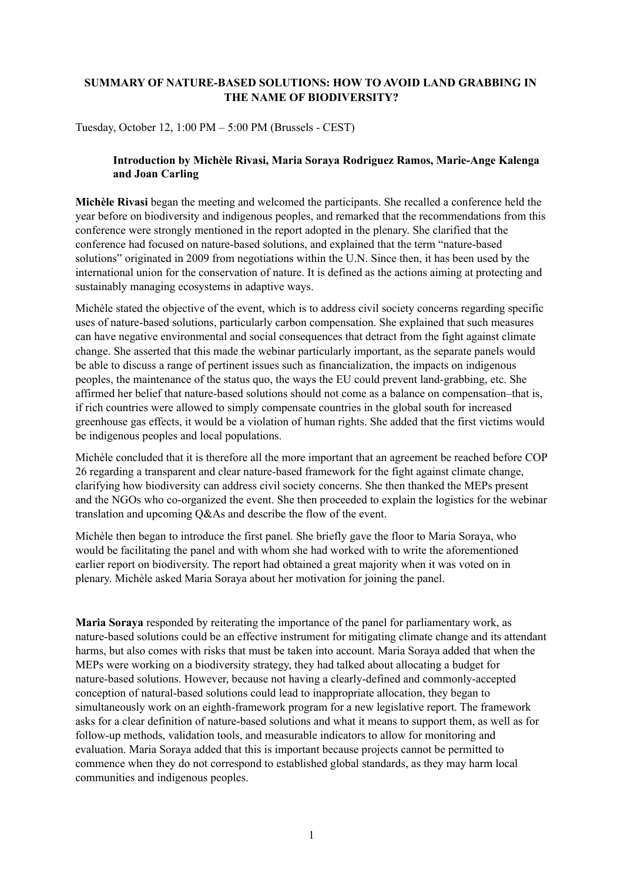## **SUMMARY OF NATURE-BASED SOLUTIONS: HOW TO AVOID LAND GRABBING IN THE NAME OF BIODIVERSITY?**

Tuesday, October 12, 1:00 PM – 5:00 PM (Brussels - CEST)

### **Introduction by Michèle Rivasi, Maria Soraya Rodriguez Ramos, Marie-Ange Kalenga and Joan Carling**

**Michèle Rivasi** began the meeting and welcomed the participants. She recalled a conference held the year before on biodiversity and indigenous peoples, and remarked that the recommendations from this conference were strongly mentioned in the report adopted in the plenary. She clarified that the conference had focused on nature-based solutions, and explained that the term "nature-based solutions" originated in 2009 from negotiations within the U.N. Since then, it has been used by the international union for the conservation of nature. It is defined as the actions aiming at protecting and sustainably managing ecosystems in adaptive ways.

Michèle stated the objective of the event, which is to address civil society concerns regarding specific uses of nature-based solutions, particularly carbon compensation. She explained that such measures can have negative environmental and social consequences that detract from the fight against climate change. She asserted that this made the webinar particularly important, as the separate panels would be able to discuss a range of pertinent issues such as financialization, the impacts on indigenous peoples, the maintenance of the status quo, the ways the EU could prevent land-grabbing, etc. She affirmed her belief that nature-based solutions should not come as a balance on compensation–that is, if rich countries were allowed to simply compensate countries in the global south for increased greenhouse gas effects, it would be a violation of human rights. She added that the first victims would be indigenous peoples and local populations.

Michèle concluded that it is therefore all the more important that an agreement be reached before COP 26 regarding a transparent and clear nature-based framework for the fight against climate change, clarifying how biodiversity can address civil society concerns. She then thanked the MEPs present and the NGOs who co-organized the event. She then proceeded to explain the logistics for the webinar translation and upcoming Q&As and describe the flow of the event.

Michèle then began to introduce the first panel. She briefly gave the floor to Maria Soraya, who would be facilitating the panel and with whom she had worked with to write the aforementioned earlier report on biodiversity. The report had obtained a great majority when it was voted on in plenary. Michèle asked Maria Soraya about her motivation for joining the panel.

**Maria Soraya** responded by reiterating the importance of the panel for parliamentary work, as nature-based solutions could be an effective instrument for mitigating climate change and its attendant harms, but also comes with risks that must be taken into account. Maria Soraya added that when the MEPs were working on a biodiversity strategy, they had talked about allocating a budget for nature-based solutions. However, because not having a clearly-defined and commonly-accepted conception of natural-based solutions could lead to inappropriate allocation, they began to simultaneously work on an eighth-framework program for a new legislative report. The framework asks for a clear definition of nature-based solutions and what it means to support them, as well as for follow-up methods, validation tools, and measurable indicators to allow for monitoring and evaluation. Maria Soraya added that this is important because projects cannot be permitted to commence when they do not correspond to established global standards, as they may harm local communities and indigenous peoples.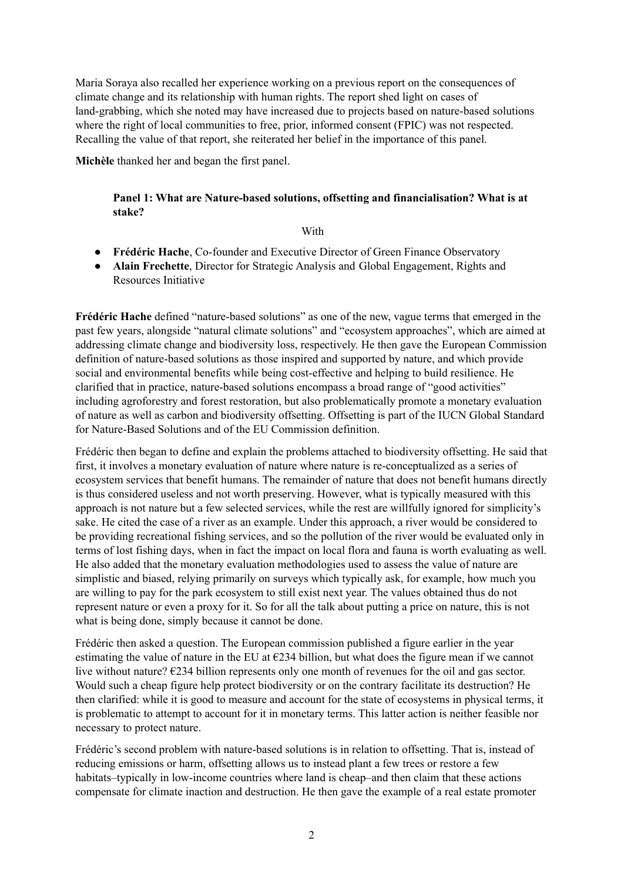Maria Soraya also recalled her experience working on a previous report on the consequences of climate change and its relationship with human rights. The report shed light on cases of land-grabbing, which she noted may have increased due to projects based on nature-based solutions where the right of local communities to free, prior, informed consent (FPIC) was not respected. Recalling the value of that report, she reiterated her belief in the importance of this panel.

**Michèle** thanked her and began the first panel.

### **Panel 1: What are Nature-based solutions, offsetting and financialisation? What is at stake?**

#### **With**

- **Frédéric Hache**, Co-founder and Executive Director of Green Finance Observatory
- **Alain Frechette**, Director for Strategic Analysis and Global Engagement, Rights and Resources Initiative

**Frédéric Hache** defined "nature-based solutions" as one of the new, vague terms that emerged in the past few years, alongside "natural climate solutions" and "ecosystem approaches", which are aimed at addressing climate change and biodiversity loss, respectively. He then gave the European Commission definition of nature-based solutions as those inspired and supported by nature, and which provide social and environmental benefits while being cost-effective and helping to build resilience. He clarified that in practice, nature-based solutions encompass a broad range of "good activities" including agroforestry and forest restoration, but also problematically promote a monetary evaluation of nature as well as carbon and biodiversity offsetting. Offsetting is part of the IUCN Global Standard for Nature-Based Solutions and of the EU Commission definition.

Frédéric then began to define and explain the problems attached to biodiversity offsetting. He said that first, it involves a monetary evaluation of nature where nature is re-conceptualized as a series of ecosystem services that benefit humans. The remainder of nature that does not benefit humans directly is thus considered useless and not worth preserving. However, what is typically measured with this approach is not nature but a few selected services, while the rest are willfully ignored for simplicity's sake. He cited the case of a river as an example. Under this approach, a river would be considered to be providing recreational fishing services, and so the pollution of the river would be evaluated only in terms of lost fishing days, when in fact the impact on local flora and fauna is worth evaluating as well. He also added that the monetary evaluation methodologies used to assess the value of nature are simplistic and biased, relying primarily on surveys which typically ask, for example, how much you are willing to pay for the park ecosystem to still exist next year. The values obtained thus do not represent nature or even a proxy for it. So for all the talk about putting a price on nature, this is not what is being done, simply because it cannot be done.

Frédéric then asked a question. The European commission published a figure earlier in the year estimating the value of nature in the EU at  $\epsilon$ 234 billion, but what does the figure mean if we cannot live without nature? €234 billion represents only one month of revenues for the oil and gas sector. Would such a cheap figure help protect biodiversity or on the contrary facilitate its destruction? He then clarified: while it is good to measure and account for the state of ecosystems in physical terms, it is problematic to attempt to account for it in monetary terms. This latter action is neither feasible nor necessary to protect nature.

Frédéric's second problem with nature-based solutions is in relation to offsetting. That is, instead of reducing emissions or harm, offsetting allows us to instead plant a few trees or restore a few habitats–typically in low-income countries where land is cheap–and then claim that these actions compensate for climate inaction and destruction. He then gave the example of a real estate promoter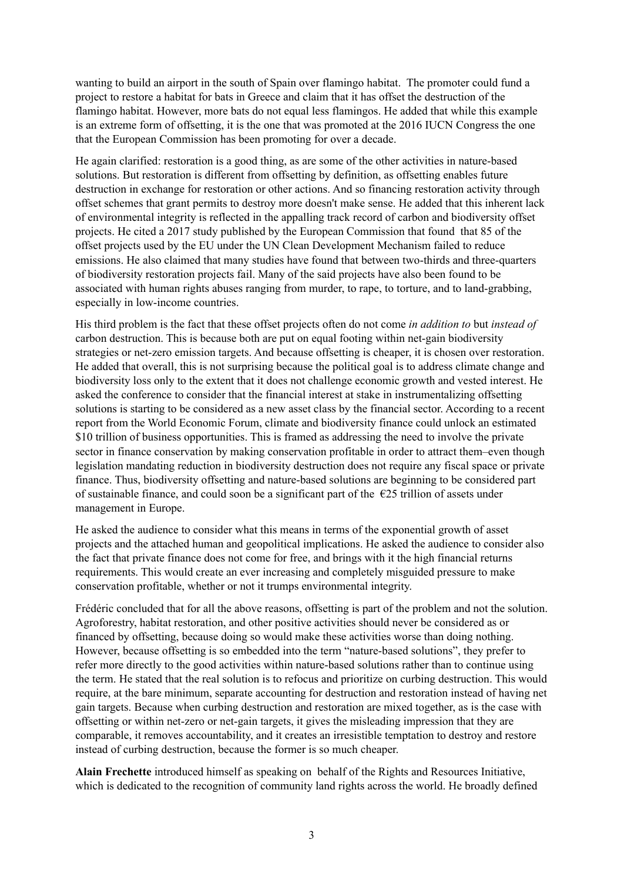wanting to build an airport in the south of Spain over flamingo habitat. The promoter could fund a project to restore a habitat for bats in Greece and claim that it has offset the destruction of the flamingo habitat. However, more bats do not equal less flamingos. He added that while this example is an extreme form of offsetting, it is the one that was promoted at the 2016 IUCN Congress the one that the European Commission has been promoting for over a decade.

He again clarified: restoration is a good thing, as are some of the other activities in nature-based solutions. But restoration is different from offsetting by definition, as offsetting enables future destruction in exchange for restoration or other actions. And so financing restoration activity through offset schemes that grant permits to destroy more doesn't make sense. He added that this inherent lack of environmental integrity is reflected in the appalling track record of carbon and biodiversity offset projects. He cited a 2017 study published by the European Commission that found that 85 of the offset projects used by the EU under the UN Clean Development Mechanism failed to reduce emissions. He also claimed that many studies have found that between two-thirds and three-quarters of biodiversity restoration projects fail. Many of the said projects have also been found to be associated with human rights abuses ranging from murder, to rape, to torture, and to land-grabbing, especially in low-income countries.

His third problem is the fact that these offset projects often do not come *in addition to* but *instead of* carbon destruction. This is because both are put on equal footing within net-gain biodiversity strategies or net-zero emission targets. And because offsetting is cheaper, it is chosen over restoration. He added that overall, this is not surprising because the political goal is to address climate change and biodiversity loss only to the extent that it does not challenge economic growth and vested interest. He asked the conference to consider that the financial interest at stake in instrumentalizing offsetting solutions is starting to be considered as a new asset class by the financial sector. According to a recent report from the World Economic Forum, climate and biodiversity finance could unlock an estimated \$10 trillion of business opportunities. This is framed as addressing the need to involve the private sector in finance conservation by making conservation profitable in order to attract them–even though legislation mandating reduction in biodiversity destruction does not require any fiscal space or private finance. Thus, biodiversity offsetting and nature-based solutions are beginning to be considered part of sustainable finance, and could soon be a significant part of the  $\epsilon$ 25 trillion of assets under management in Europe.

He asked the audience to consider what this means in terms of the exponential growth of asset projects and the attached human and geopolitical implications. He asked the audience to consider also the fact that private finance does not come for free, and brings with it the high financial returns requirements. This would create an ever increasing and completely misguided pressure to make conservation profitable, whether or not it trumps environmental integrity.

Frédéric concluded that for all the above reasons, offsetting is part of the problem and not the solution. Agroforestry, habitat restoration, and other positive activities should never be considered as or financed by offsetting, because doing so would make these activities worse than doing nothing. However, because offsetting is so embedded into the term "nature-based solutions", they prefer to refer more directly to the good activities within nature-based solutions rather than to continue using the term. He stated that the real solution is to refocus and prioritize on curbing destruction. This would require, at the bare minimum, separate accounting for destruction and restoration instead of having net gain targets. Because when curbing destruction and restoration are mixed together, as is the case with offsetting or within net-zero or net-gain targets, it gives the misleading impression that they are comparable, it removes accountability, and it creates an irresistible temptation to destroy and restore instead of curbing destruction, because the former is so much cheaper.

**Alain Frechette** introduced himself as speaking on behalf of the Rights and Resources Initiative, which is dedicated to the recognition of community land rights across the world. He broadly defined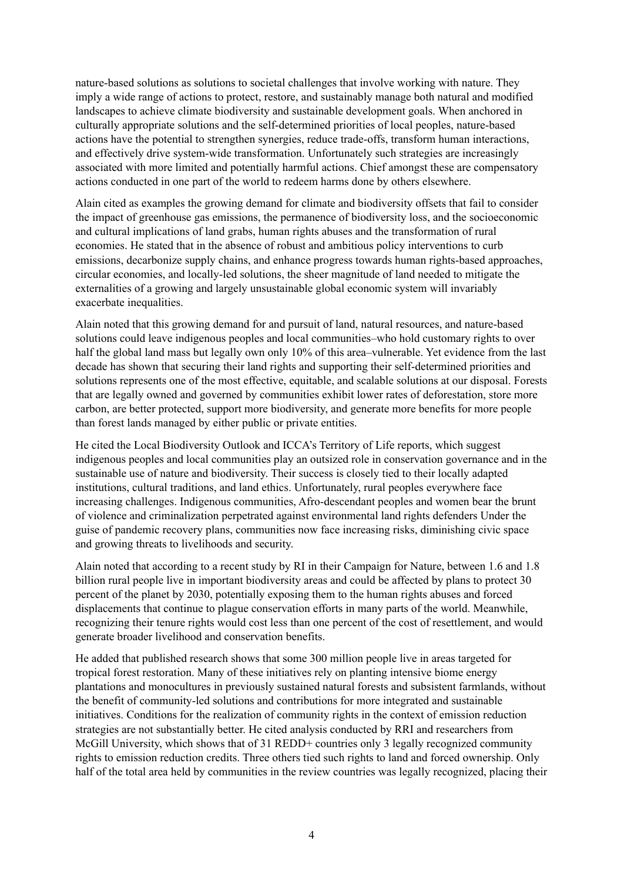nature-based solutions as solutions to societal challenges that involve working with nature. They imply a wide range of actions to protect, restore, and sustainably manage both natural and modified landscapes to achieve climate biodiversity and sustainable development goals. When anchored in culturally appropriate solutions and the self-determined priorities of local peoples, nature-based actions have the potential to strengthen synergies, reduce trade-offs, transform human interactions, and effectively drive system-wide transformation. Unfortunately such strategies are increasingly associated with more limited and potentially harmful actions. Chief amongst these are compensatory actions conducted in one part of the world to redeem harms done by others elsewhere.

Alain cited as examples the growing demand for climate and biodiversity offsets that fail to consider the impact of greenhouse gas emissions, the permanence of biodiversity loss, and the socioeconomic and cultural implications of land grabs, human rights abuses and the transformation of rural economies. He stated that in the absence of robust and ambitious policy interventions to curb emissions, decarbonize supply chains, and enhance progress towards human rights-based approaches, circular economies, and locally-led solutions, the sheer magnitude of land needed to mitigate the externalities of a growing and largely unsustainable global economic system will invariably exacerbate inequalities.

Alain noted that this growing demand for and pursuit of land, natural resources, and nature-based solutions could leave indigenous peoples and local communities–who hold customary rights to over half the global land mass but legally own only 10% of this area–vulnerable. Yet evidence from the last decade has shown that securing their land rights and supporting their self-determined priorities and solutions represents one of the most effective, equitable, and scalable solutions at our disposal. Forests that are legally owned and governed by communities exhibit lower rates of deforestation, store more carbon, are better protected, support more biodiversity, and generate more benefits for more people than forest lands managed by either public or private entities.

He cited the Local Biodiversity Outlook and ICCA's Territory of Life reports, which suggest indigenous peoples and local communities play an outsized role in conservation governance and in the sustainable use of nature and biodiversity. Their success is closely tied to their locally adapted institutions, cultural traditions, and land ethics. Unfortunately, rural peoples everywhere face increasing challenges. Indigenous communities, Afro-descendant peoples and women bear the brunt of violence and criminalization perpetrated against environmental land rights defenders Under the guise of pandemic recovery plans, communities now face increasing risks, diminishing civic space and growing threats to livelihoods and security.

Alain noted that according to a recent study by RI in their Campaign for Nature, between 1.6 and 1.8 billion rural people live in important biodiversity areas and could be affected by plans to protect 30 percent of the planet by 2030, potentially exposing them to the human rights abuses and forced displacements that continue to plague conservation efforts in many parts of the world. Meanwhile, recognizing their tenure rights would cost less than one percent of the cost of resettlement, and would generate broader livelihood and conservation benefits.

He added that published research shows that some 300 million people live in areas targeted for tropical forest restoration. Many of these initiatives rely on planting intensive biome energy plantations and monocultures in previously sustained natural forests and subsistent farmlands, without the benefit of community-led solutions and contributions for more integrated and sustainable initiatives. Conditions for the realization of community rights in the context of emission reduction strategies are not substantially better. He cited analysis conducted by RRI and researchers from McGill University, which shows that of 31 REDD+ countries only 3 legally recognized community rights to emission reduction credits. Three others tied such rights to land and forced ownership. Only half of the total area held by communities in the review countries was legally recognized, placing their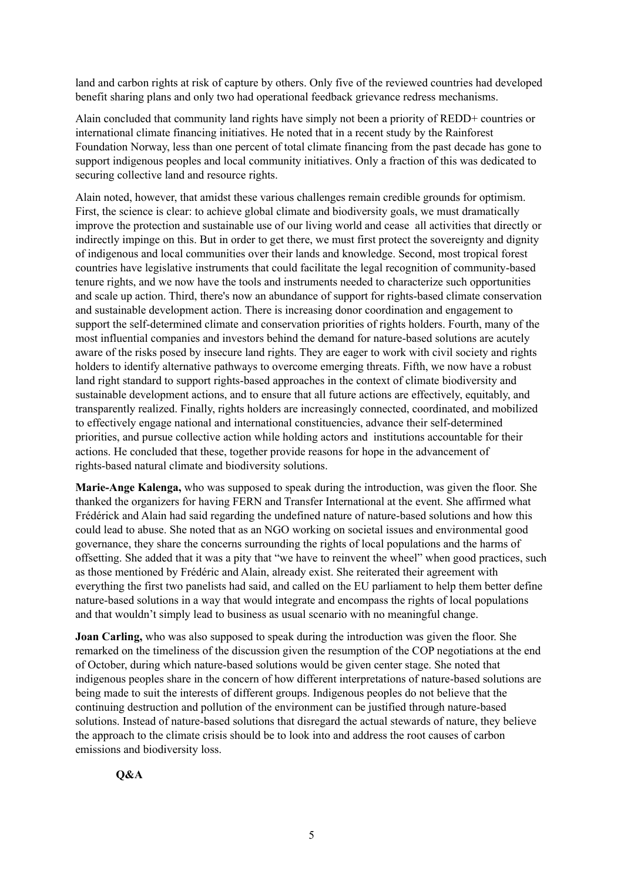land and carbon rights at risk of capture by others. Only five of the reviewed countries had developed benefit sharing plans and only two had operational feedback grievance redress mechanisms.

Alain concluded that community land rights have simply not been a priority of REDD+ countries or international climate financing initiatives. He noted that in a recent study by the Rainforest Foundation Norway, less than one percent of total climate financing from the past decade has gone to support indigenous peoples and local community initiatives. Only a fraction of this was dedicated to securing collective land and resource rights.

Alain noted, however, that amidst these various challenges remain credible grounds for optimism. First, the science is clear: to achieve global climate and biodiversity goals, we must dramatically improve the protection and sustainable use of our living world and cease all activities that directly or indirectly impinge on this. But in order to get there, we must first protect the sovereignty and dignity of indigenous and local communities over their lands and knowledge. Second, most tropical forest countries have legislative instruments that could facilitate the legal recognition of community-based tenure rights, and we now have the tools and instruments needed to characterize such opportunities and scale up action. Third, there's now an abundance of support for rights-based climate conservation and sustainable development action. There is increasing donor coordination and engagement to support the self-determined climate and conservation priorities of rights holders. Fourth, many of the most influential companies and investors behind the demand for nature-based solutions are acutely aware of the risks posed by insecure land rights. They are eager to work with civil society and rights holders to identify alternative pathways to overcome emerging threats. Fifth, we now have a robust land right standard to support rights-based approaches in the context of climate biodiversity and sustainable development actions, and to ensure that all future actions are effectively, equitably, and transparently realized. Finally, rights holders are increasingly connected, coordinated, and mobilized to effectively engage national and international constituencies, advance their self-determined priorities, and pursue collective action while holding actors and institutions accountable for their actions. He concluded that these, together provide reasons for hope in the advancement of rights-based natural climate and biodiversity solutions.

**Marie-Ange Kalenga,** who was supposed to speak during the introduction, was given the floor. She thanked the organizers for having FERN and Transfer International at the event. She affirmed what Frédérick and Alain had said regarding the undefined nature of nature-based solutions and how this could lead to abuse. She noted that as an NGO working on societal issues and environmental good governance, they share the concerns surrounding the rights of local populations and the harms of offsetting. She added that it was a pity that "we have to reinvent the wheel" when good practices, such as those mentioned by Frédéric and Alain, already exist. She reiterated their agreement with everything the first two panelists had said, and called on the EU parliament to help them better define nature-based solutions in a way that would integrate and encompass the rights of local populations and that wouldn't simply lead to business as usual scenario with no meaningful change.

**Joan Carling,** who was also supposed to speak during the introduction was given the floor. She remarked on the timeliness of the discussion given the resumption of the COP negotiations at the end of October, during which nature-based solutions would be given center stage. She noted that indigenous peoples share in the concern of how different interpretations of nature-based solutions are being made to suit the interests of different groups. Indigenous peoples do not believe that the continuing destruction and pollution of the environment can be justified through nature-based solutions. Instead of nature-based solutions that disregard the actual stewards of nature, they believe the approach to the climate crisis should be to look into and address the root causes of carbon emissions and biodiversity loss.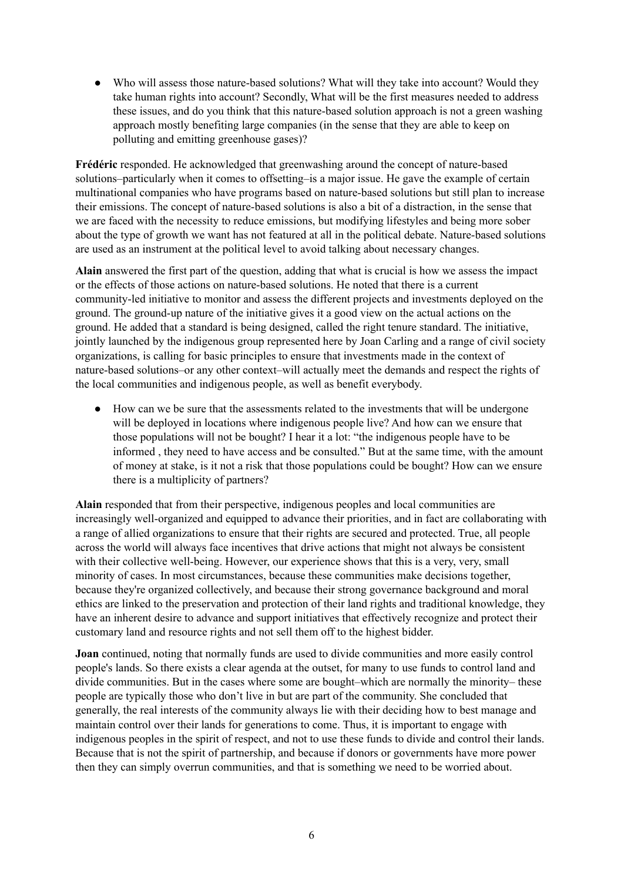• Who will assess those nature-based solutions? What will they take into account? Would they take human rights into account? Secondly, What will be the first measures needed to address these issues, and do you think that this nature-based solution approach is not a green washing approach mostly benefiting large companies (in the sense that they are able to keep on polluting and emitting greenhouse gases)?

**Frédéric** responded. He acknowledged that greenwashing around the concept of nature-based solutions–particularly when it comes to offsetting–is a major issue. He gave the example of certain multinational companies who have programs based on nature-based solutions but still plan to increase their emissions. The concept of nature-based solutions is also a bit of a distraction, in the sense that we are faced with the necessity to reduce emissions, but modifying lifestyles and being more sober about the type of growth we want has not featured at all in the political debate. Nature-based solutions are used as an instrument at the political level to avoid talking about necessary changes.

**Alain** answered the first part of the question, adding that what is crucial is how we assess the impact or the effects of those actions on nature-based solutions. He noted that there is a current community-led initiative to monitor and assess the different projects and investments deployed on the ground. The ground-up nature of the initiative gives it a good view on the actual actions on the ground. He added that a standard is being designed, called the right tenure standard. The initiative, jointly launched by the indigenous group represented here by Joan Carling and a range of civil society organizations, is calling for basic principles to ensure that investments made in the context of nature-based solutions–or any other context–will actually meet the demands and respect the rights of the local communities and indigenous people, as well as benefit everybody.

● How can we be sure that the assessments related to the investments that will be undergone will be deployed in locations where indigenous people live? And how can we ensure that those populations will not be bought? I hear it a lot: "the indigenous people have to be informed , they need to have access and be consulted." But at the same time, with the amount of money at stake, is it not a risk that those populations could be bought? How can we ensure there is a multiplicity of partners?

**Alain** responded that from their perspective, indigenous peoples and local communities are increasingly well-organized and equipped to advance their priorities, and in fact are collaborating with a range of allied organizations to ensure that their rights are secured and protected. True, all people across the world will always face incentives that drive actions that might not always be consistent with their collective well-being. However, our experience shows that this is a very, very, small minority of cases. In most circumstances, because these communities make decisions together, because they're organized collectively, and because their strong governance background and moral ethics are linked to the preservation and protection of their land rights and traditional knowledge, they have an inherent desire to advance and support initiatives that effectively recognize and protect their customary land and resource rights and not sell them off to the highest bidder.

**Joan** continued, noting that normally funds are used to divide communities and more easily control people's lands. So there exists a clear agenda at the outset, for many to use funds to control land and divide communities. But in the cases where some are bought–which are normally the minority– these people are typically those who don't live in but are part of the community. She concluded that generally, the real interests of the community always lie with their deciding how to best manage and maintain control over their lands for generations to come. Thus, it is important to engage with indigenous peoples in the spirit of respect, and not to use these funds to divide and control their lands. Because that is not the spirit of partnership, and because if donors or governments have more power then they can simply overrun communities, and that is something we need to be worried about.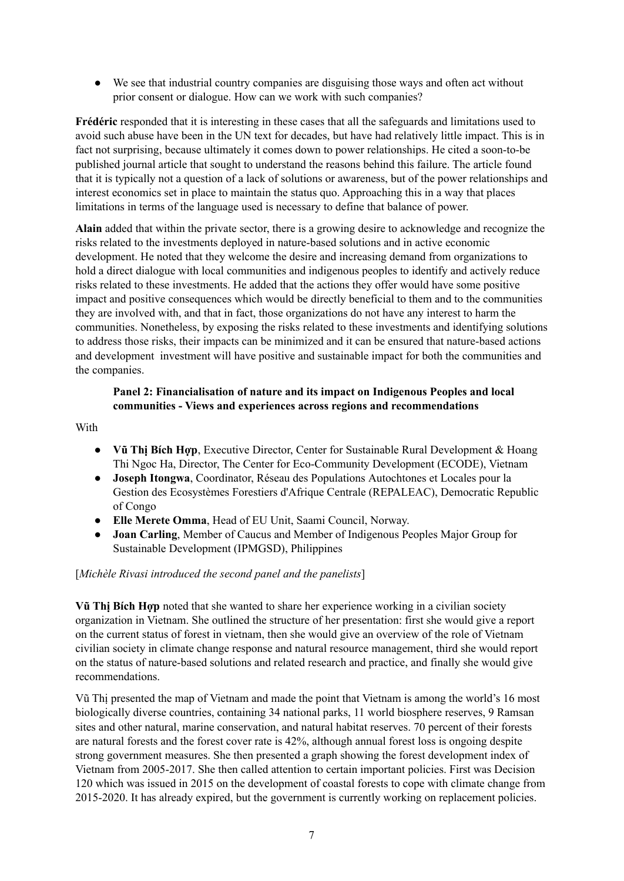● We see that industrial country companies are disguising those ways and often act without prior consent or dialogue. How can we work with such companies?

**Frédéric** responded that it is interesting in these cases that all the safeguards and limitations used to avoid such abuse have been in the UN text for decades, but have had relatively little impact. This is in fact not surprising, because ultimately it comes down to power relationships. He cited a soon-to-be published journal article that sought to understand the reasons behind this failure. The article found that it is typically not a question of a lack of solutions or awareness, but of the power relationships and interest economics set in place to maintain the status quo. Approaching this in a way that places limitations in terms of the language used is necessary to define that balance of power.

**Alain** added that within the private sector, there is a growing desire to acknowledge and recognize the risks related to the investments deployed in nature-based solutions and in active economic development. He noted that they welcome the desire and increasing demand from organizations to hold a direct dialogue with local communities and indigenous peoples to identify and actively reduce risks related to these investments. He added that the actions they offer would have some positive impact and positive consequences which would be directly beneficial to them and to the communities they are involved with, and that in fact, those organizations do not have any interest to harm the communities. Nonetheless, by exposing the risks related to these investments and identifying solutions to address those risks, their impacts can be minimized and it can be ensured that nature-based actions and development investment will have positive and sustainable impact for both the communities and the companies.

## **Panel 2: Financialisation of nature and its impact on Indigenous Peoples and local communities - Views and experiences across regions and recommendations**

### With

- **Vũ Thị Bích Hợp**, Executive Director, Center for Sustainable Rural Development & Hoang Thi Ngoc Ha, Director, The Center for Eco-Community Development (ECODE), Vietnam
- **Joseph Itongwa**, Coordinator, Réseau des Populations Autochtones et Locales pour la Gestion des Ecosystèmes Forestiers d'Afrique Centrale (REPALEAC), Democratic Republic of Congo
- **Elle Merete Omma**, Head of EU Unit, Saami Council, Norway.
- **Joan Carling**, Member of Caucus and Member of Indigenous Peoples Major Group for Sustainable Development (IPMGSD), Philippines

#### [*Michèle Rivasi introduced the second panel and the panelists*]

**Vũ Thị Bích Hợp** noted that she wanted to share her experience working in a civilian society organization in Vietnam. She outlined the structure of her presentation: first she would give a report on the current status of forest in vietnam, then she would give an overview of the role of Vietnam civilian society in climate change response and natural resource management, third she would report on the status of nature-based solutions and related research and practice, and finally she would give recommendations.

Vũ Thị presented the map of Vietnam and made the point that Vietnam is among the world's 16 most biologically diverse countries, containing 34 national parks, 11 world biosphere reserves, 9 Ramsan sites and other natural, marine conservation, and natural habitat reserves. 70 percent of their forests are natural forests and the forest cover rate is 42%, although annual forest loss is ongoing despite strong government measures. She then presented a graph showing the forest development index of Vietnam from 2005-2017. She then called attention to certain important policies. First was Decision 120 which was issued in 2015 on the development of coastal forests to cope with climate change from 2015-2020. It has already expired, but the government is currently working on replacement policies.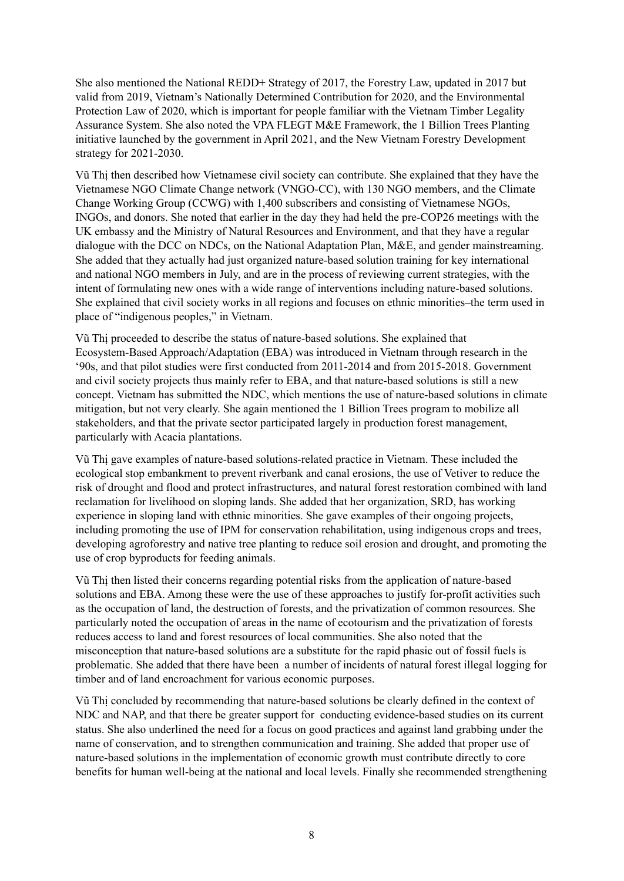She also mentioned the National REDD+ Strategy of 2017, the Forestry Law, updated in 2017 but valid from 2019, Vietnam's Nationally Determined Contribution for 2020, and the Environmental Protection Law of 2020, which is important for people familiar with the Vietnam Timber Legality Assurance System. She also noted the VPA FLEGT M&E Framework, the 1 Billion Trees Planting initiative launched by the government in April 2021, and the New Vietnam Forestry Development strategy for 2021-2030.

Vũ Thị then described how Vietnamese civil society can contribute. She explained that they have the Vietnamese NGO Climate Change network (VNGO-CC), with 130 NGO members, and the Climate Change Working Group (CCWG) with 1,400 subscribers and consisting of Vietnamese NGOs, INGOs, and donors. She noted that earlier in the day they had held the pre-COP26 meetings with the UK embassy and the Ministry of Natural Resources and Environment, and that they have a regular dialogue with the DCC on NDCs, on the National Adaptation Plan, M&E, and gender mainstreaming. She added that they actually had just organized nature-based solution training for key international and national NGO members in July, and are in the process of reviewing current strategies, with the intent of formulating new ones with a wide range of interventions including nature-based solutions. She explained that civil society works in all regions and focuses on ethnic minorities–the term used in place of "indigenous peoples," in Vietnam.

Vũ Thị proceeded to describe the status of nature-based solutions. She explained that Ecosystem-Based Approach/Adaptation (EBA) was introduced in Vietnam through research in the '90s, and that pilot studies were first conducted from 2011-2014 and from 2015-2018. Government and civil society projects thus mainly refer to EBA, and that nature-based solutions is still a new concept. Vietnam has submitted the NDC, which mentions the use of nature-based solutions in climate mitigation, but not very clearly. She again mentioned the 1 Billion Trees program to mobilize all stakeholders, and that the private sector participated largely in production forest management, particularly with Acacia plantations.

Vũ Thị gave examples of nature-based solutions-related practice in Vietnam. These included the ecological stop embankment to prevent riverbank and canal erosions, the use of Vetiver to reduce the risk of drought and flood and protect infrastructures, and natural forest restoration combined with land reclamation for livelihood on sloping lands. She added that her organization, SRD, has working experience in sloping land with ethnic minorities. She gave examples of their ongoing projects, including promoting the use of IPM for conservation rehabilitation, using indigenous crops and trees, developing agroforestry and native tree planting to reduce soil erosion and drought, and promoting the use of crop byproducts for feeding animals.

Vũ Thị then listed their concerns regarding potential risks from the application of nature-based solutions and EBA. Among these were the use of these approaches to justify for-profit activities such as the occupation of land, the destruction of forests, and the privatization of common resources. She particularly noted the occupation of areas in the name of ecotourism and the privatization of forests reduces access to land and forest resources of local communities. She also noted that the misconception that nature-based solutions are a substitute for the rapid phasic out of fossil fuels is problematic. She added that there have been a number of incidents of natural forest illegal logging for timber and of land encroachment for various economic purposes.

Vũ Thị concluded by recommending that nature-based solutions be clearly defined in the context of NDC and NAP, and that there be greater support for conducting evidence-based studies on its current status. She also underlined the need for a focus on good practices and against land grabbing under the name of conservation, and to strengthen communication and training. She added that proper use of nature-based solutions in the implementation of economic growth must contribute directly to core benefits for human well-being at the national and local levels. Finally she recommended strengthening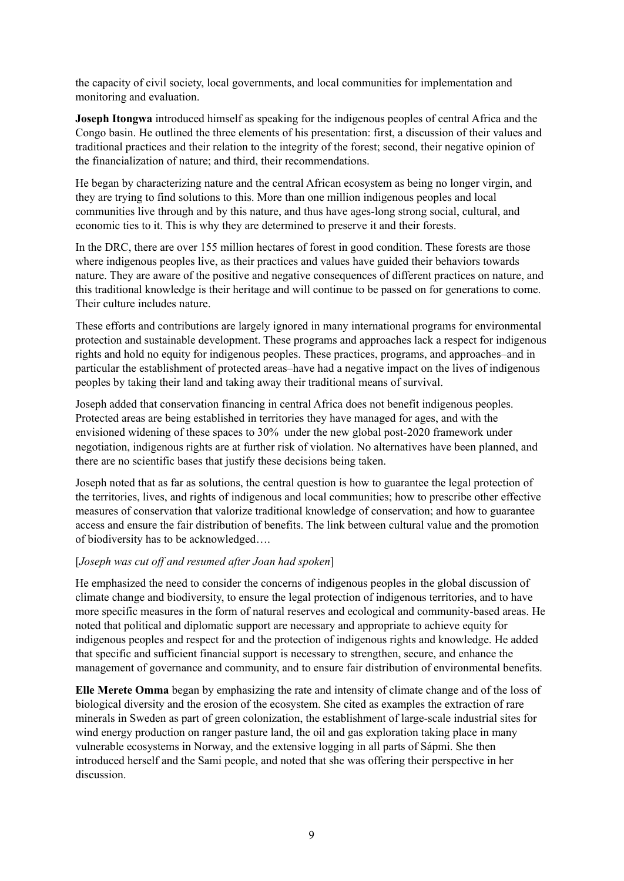the capacity of civil society, local governments, and local communities for implementation and monitoring and evaluation.

**Joseph Itongwa** introduced himself as speaking for the indigenous peoples of central Africa and the Congo basin. He outlined the three elements of his presentation: first, a discussion of their values and traditional practices and their relation to the integrity of the forest; second, their negative opinion of the financialization of nature; and third, their recommendations.

He began by characterizing nature and the central African ecosystem as being no longer virgin, and they are trying to find solutions to this. More than one million indigenous peoples and local communities live through and by this nature, and thus have ages-long strong social, cultural, and economic ties to it. This is why they are determined to preserve it and their forests.

In the DRC, there are over 155 million hectares of forest in good condition. These forests are those where indigenous peoples live, as their practices and values have guided their behaviors towards nature. They are aware of the positive and negative consequences of different practices on nature, and this traditional knowledge is their heritage and will continue to be passed on for generations to come. Their culture includes nature.

These efforts and contributions are largely ignored in many international programs for environmental protection and sustainable development. These programs and approaches lack a respect for indigenous rights and hold no equity for indigenous peoples. These practices, programs, and approaches–and in particular the establishment of protected areas–have had a negative impact on the lives of indigenous peoples by taking their land and taking away their traditional means of survival.

Joseph added that conservation financing in central Africa does not benefit indigenous peoples. Protected areas are being established in territories they have managed for ages, and with the envisioned widening of these spaces to 30% under the new global post-2020 framework under negotiation, indigenous rights are at further risk of violation. No alternatives have been planned, and there are no scientific bases that justify these decisions being taken.

Joseph noted that as far as solutions, the central question is how to guarantee the legal protection of the territories, lives, and rights of indigenous and local communities; how to prescribe other effective measures of conservation that valorize traditional knowledge of conservation; and how to guarantee access and ensure the fair distribution of benefits. The link between cultural value and the promotion of biodiversity has to be acknowledged….

#### [*Joseph was cut of and resumed after Joan had spoken*]

He emphasized the need to consider the concerns of indigenous peoples in the global discussion of climate change and biodiversity, to ensure the legal protection of indigenous territories, and to have more specific measures in the form of natural reserves and ecological and community-based areas. He noted that political and diplomatic support are necessary and appropriate to achieve equity for indigenous peoples and respect for and the protection of indigenous rights and knowledge. He added that specific and sufficient financial support is necessary to strengthen, secure, and enhance the management of governance and community, and to ensure fair distribution of environmental benefits.

**Elle Merete Omma** began by emphasizing the rate and intensity of climate change and of the loss of biological diversity and the erosion of the ecosystem. She cited as examples the extraction of rare minerals in Sweden as part of green colonization, the establishment of large-scale industrial sites for wind energy production on ranger pasture land, the oil and gas exploration taking place in many vulnerable ecosystems in Norway, and the extensive logging in all parts of Sápmi. She then introduced herself and the Sami people, and noted that she was offering their perspective in her discussion.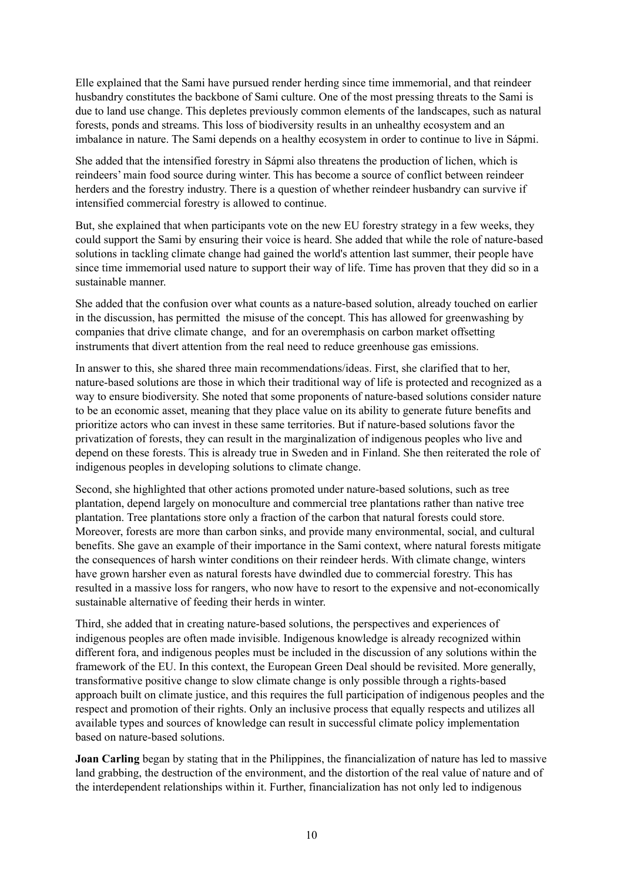Elle explained that the Sami have pursued render herding since time immemorial, and that reindeer husbandry constitutes the backbone of Sami culture. One of the most pressing threats to the Sami is due to land use change. This depletes previously common elements of the landscapes, such as natural forests, ponds and streams. This loss of biodiversity results in an unhealthy ecosystem and an imbalance in nature. The Sami depends on a healthy ecosystem in order to continue to live in Sápmi.

She added that the intensified forestry in Sápmi also threatens the production of lichen, which is reindeers' main food source during winter. This has become a source of conflict between reindeer herders and the forestry industry. There is a question of whether reindeer husbandry can survive if intensified commercial forestry is allowed to continue.

But, she explained that when participants vote on the new EU forestry strategy in a few weeks, they could support the Sami by ensuring their voice is heard. She added that while the role of nature-based solutions in tackling climate change had gained the world's attention last summer, their people have since time immemorial used nature to support their way of life. Time has proven that they did so in a sustainable manner.

She added that the confusion over what counts as a nature-based solution, already touched on earlier in the discussion, has permitted the misuse of the concept. This has allowed for greenwashing by companies that drive climate change, and for an overemphasis on carbon market offsetting instruments that divert attention from the real need to reduce greenhouse gas emissions.

In answer to this, she shared three main recommendations/ideas. First, she clarified that to her, nature-based solutions are those in which their traditional way of life is protected and recognized as a way to ensure biodiversity. She noted that some proponents of nature-based solutions consider nature to be an economic asset, meaning that they place value on its ability to generate future benefits and prioritize actors who can invest in these same territories. But if nature-based solutions favor the privatization of forests, they can result in the marginalization of indigenous peoples who live and depend on these forests. This is already true in Sweden and in Finland. She then reiterated the role of indigenous peoples in developing solutions to climate change.

Second, she highlighted that other actions promoted under nature-based solutions, such as tree plantation, depend largely on monoculture and commercial tree plantations rather than native tree plantation. Tree plantations store only a fraction of the carbon that natural forests could store. Moreover, forests are more than carbon sinks, and provide many environmental, social, and cultural benefits. She gave an example of their importance in the Sami context, where natural forests mitigate the consequences of harsh winter conditions on their reindeer herds. With climate change, winters have grown harsher even as natural forests have dwindled due to commercial forestry. This has resulted in a massive loss for rangers, who now have to resort to the expensive and not-economically sustainable alternative of feeding their herds in winter.

Third, she added that in creating nature-based solutions, the perspectives and experiences of indigenous peoples are often made invisible. Indigenous knowledge is already recognized within different fora, and indigenous peoples must be included in the discussion of any solutions within the framework of the EU. In this context, the European Green Deal should be revisited. More generally, transformative positive change to slow climate change is only possible through a rights-based approach built on climate justice, and this requires the full participation of indigenous peoples and the respect and promotion of their rights. Only an inclusive process that equally respects and utilizes all available types and sources of knowledge can result in successful climate policy implementation based on nature-based solutions.

**Joan Carling** began by stating that in the Philippines, the financialization of nature has led to massive land grabbing, the destruction of the environment, and the distortion of the real value of nature and of the interdependent relationships within it. Further, financialization has not only led to indigenous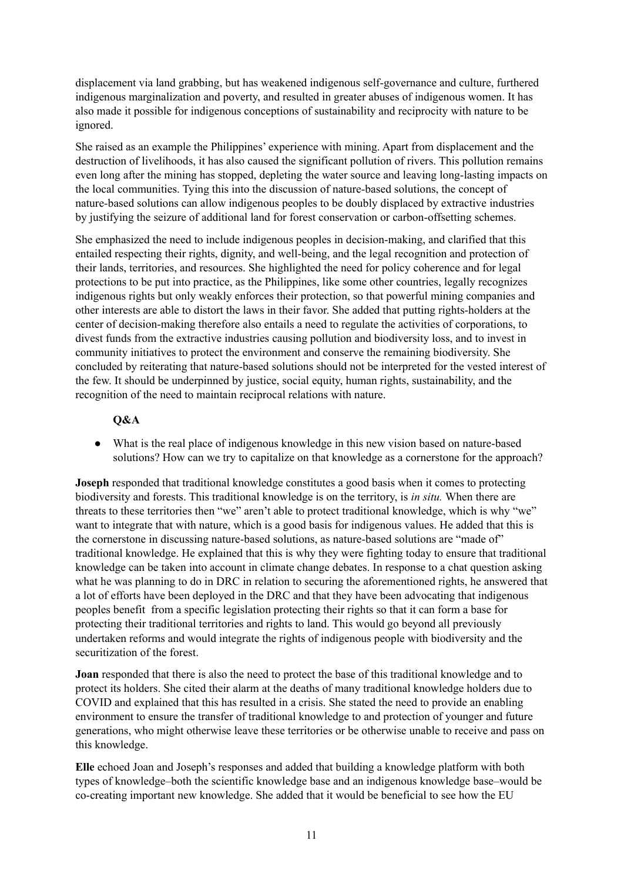displacement via land grabbing, but has weakened indigenous self-governance and culture, furthered indigenous marginalization and poverty, and resulted in greater abuses of indigenous women. It has also made it possible for indigenous conceptions of sustainability and reciprocity with nature to be ignored.

She raised as an example the Philippines' experience with mining. Apart from displacement and the destruction of livelihoods, it has also caused the significant pollution of rivers. This pollution remains even long after the mining has stopped, depleting the water source and leaving long-lasting impacts on the local communities. Tying this into the discussion of nature-based solutions, the concept of nature-based solutions can allow indigenous peoples to be doubly displaced by extractive industries by justifying the seizure of additional land for forest conservation or carbon-offsetting schemes.

She emphasized the need to include indigenous peoples in decision-making, and clarified that this entailed respecting their rights, dignity, and well-being, and the legal recognition and protection of their lands, territories, and resources. She highlighted the need for policy coherence and for legal protections to be put into practice, as the Philippines, like some other countries, legally recognizes indigenous rights but only weakly enforces their protection, so that powerful mining companies and other interests are able to distort the laws in their favor. She added that putting rights-holders at the center of decision-making therefore also entails a need to regulate the activities of corporations, to divest funds from the extractive industries causing pollution and biodiversity loss, and to invest in community initiatives to protect the environment and conserve the remaining biodiversity. She concluded by reiterating that nature-based solutions should not be interpreted for the vested interest of the few. It should be underpinned by justice, social equity, human rights, sustainability, and the recognition of the need to maintain reciprocal relations with nature.

## **Q&A**

● What is the real place of indigenous knowledge in this new vision based on nature-based solutions? How can we try to capitalize on that knowledge as a cornerstone for the approach?

**Joseph** responded that traditional knowledge constitutes a good basis when it comes to protecting biodiversity and forests. This traditional knowledge is on the territory, is *in situ.* When there are threats to these territories then "we" aren't able to protect traditional knowledge, which is why "we" want to integrate that with nature, which is a good basis for indigenous values. He added that this is the cornerstone in discussing nature-based solutions, as nature-based solutions are "made of" traditional knowledge. He explained that this is why they were fighting today to ensure that traditional knowledge can be taken into account in climate change debates. In response to a chat question asking what he was planning to do in DRC in relation to securing the aforementioned rights, he answered that a lot of efforts have been deployed in the DRC and that they have been advocating that indigenous peoples benefit from a specific legislation protecting their rights so that it can form a base for protecting their traditional territories and rights to land. This would go beyond all previously undertaken reforms and would integrate the rights of indigenous people with biodiversity and the securitization of the forest.

**Joan** responded that there is also the need to protect the base of this traditional knowledge and to protect its holders. She cited their alarm at the deaths of many traditional knowledge holders due to COVID and explained that this has resulted in a crisis. She stated the need to provide an enabling environment to ensure the transfer of traditional knowledge to and protection of younger and future generations, who might otherwise leave these territories or be otherwise unable to receive and pass on this knowledge.

**Elle** echoed Joan and Joseph's responses and added that building a knowledge platform with both types of knowledge–both the scientific knowledge base and an indigenous knowledge base–would be co-creating important new knowledge. She added that it would be beneficial to see how the EU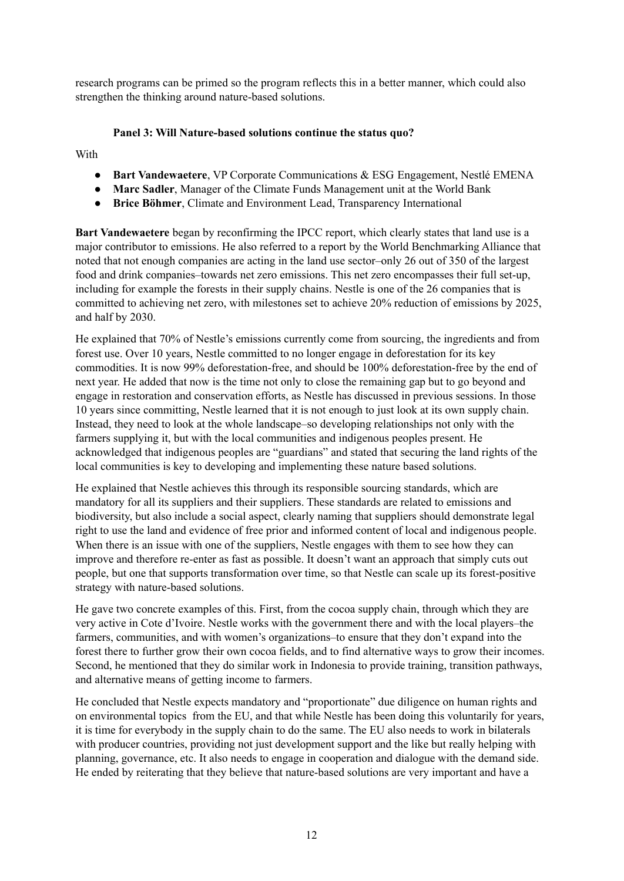research programs can be primed so the program reflects this in a better manner, which could also strengthen the thinking around nature-based solutions.

## **Panel 3: Will Nature-based solutions continue the status quo?**

With

- **Bart Vandewaetere**, VP Corporate Communications & ESG Engagement, Nestlé EMENA
- **Marc Sadler**, Manager of the Climate Funds Management unit at the World Bank
- **Brice Böhmer**, Climate and Environment Lead, Transparency International

**Bart Vandewaetere** began by reconfirming the IPCC report, which clearly states that land use is a major contributor to emissions. He also referred to a report by the World Benchmarking Alliance that noted that not enough companies are acting in the land use sector–only 26 out of 350 of the largest food and drink companies–towards net zero emissions. This net zero encompasses their full set-up, including for example the forests in their supply chains. Nestle is one of the 26 companies that is committed to achieving net zero, with milestones set to achieve 20% reduction of emissions by 2025, and half by 2030.

He explained that 70% of Nestle's emissions currently come from sourcing, the ingredients and from forest use. Over 10 years, Nestle committed to no longer engage in deforestation for its key commodities. It is now 99% deforestation-free, and should be 100% deforestation-free by the end of next year. He added that now is the time not only to close the remaining gap but to go beyond and engage in restoration and conservation efforts, as Nestle has discussed in previous sessions. In those 10 years since committing, Nestle learned that it is not enough to just look at its own supply chain. Instead, they need to look at the whole landscape–so developing relationships not only with the farmers supplying it, but with the local communities and indigenous peoples present. He acknowledged that indigenous peoples are "guardians" and stated that securing the land rights of the local communities is key to developing and implementing these nature based solutions.

He explained that Nestle achieves this through its responsible sourcing standards, which are mandatory for all its suppliers and their suppliers. These standards are related to emissions and biodiversity, but also include a social aspect, clearly naming that suppliers should demonstrate legal right to use the land and evidence of free prior and informed content of local and indigenous people. When there is an issue with one of the suppliers. Nestle engages with them to see how they can improve and therefore re-enter as fast as possible. It doesn't want an approach that simply cuts out people, but one that supports transformation over time, so that Nestle can scale up its forest-positive strategy with nature-based solutions.

He gave two concrete examples of this. First, from the cocoa supply chain, through which they are very active in Cote d'Ivoire. Nestle works with the government there and with the local players–the farmers, communities, and with women's organizations–to ensure that they don't expand into the forest there to further grow their own cocoa fields, and to find alternative ways to grow their incomes. Second, he mentioned that they do similar work in Indonesia to provide training, transition pathways, and alternative means of getting income to farmers.

He concluded that Nestle expects mandatory and "proportionate" due diligence on human rights and on environmental topics from the EU, and that while Nestle has been doing this voluntarily for years, it is time for everybody in the supply chain to do the same. The EU also needs to work in bilaterals with producer countries, providing not just development support and the like but really helping with planning, governance, etc. It also needs to engage in cooperation and dialogue with the demand side. He ended by reiterating that they believe that nature-based solutions are very important and have a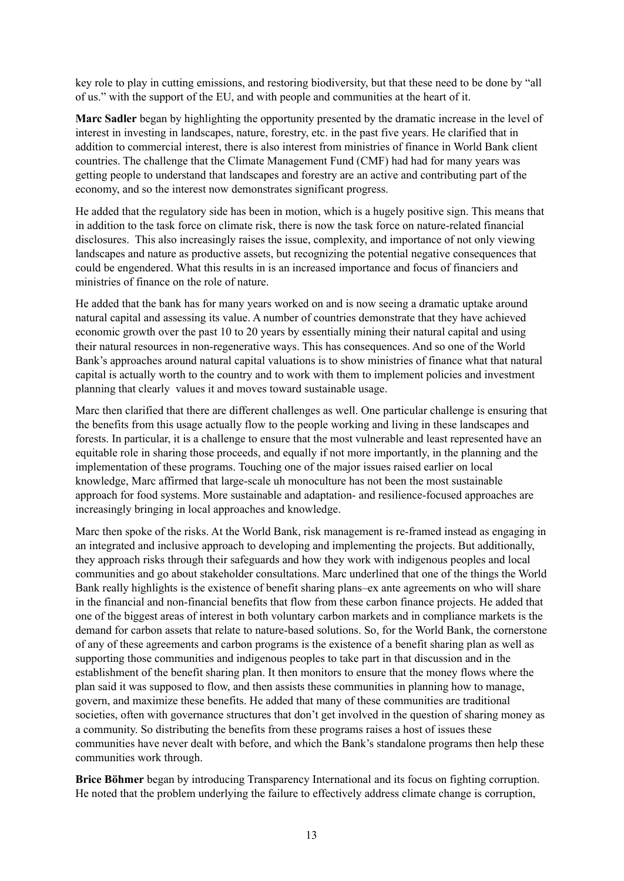key role to play in cutting emissions, and restoring biodiversity, but that these need to be done by "all of us." with the support of the EU, and with people and communities at the heart of it.

**Marc Sadler** began by highlighting the opportunity presented by the dramatic increase in the level of interest in investing in landscapes, nature, forestry, etc. in the past five years. He clarified that in addition to commercial interest, there is also interest from ministries of finance in World Bank client countries. The challenge that the Climate Management Fund (CMF) had had for many years was getting people to understand that landscapes and forestry are an active and contributing part of the economy, and so the interest now demonstrates significant progress.

He added that the regulatory side has been in motion, which is a hugely positive sign. This means that in addition to the task force on climate risk, there is now the task force on nature-related financial disclosures. This also increasingly raises the issue, complexity, and importance of not only viewing landscapes and nature as productive assets, but recognizing the potential negative consequences that could be engendered. What this results in is an increased importance and focus of financiers and ministries of finance on the role of nature.

He added that the bank has for many years worked on and is now seeing a dramatic uptake around natural capital and assessing its value. A number of countries demonstrate that they have achieved economic growth over the past 10 to 20 years by essentially mining their natural capital and using their natural resources in non-regenerative ways. This has consequences. And so one of the World Bank's approaches around natural capital valuations is to show ministries of finance what that natural capital is actually worth to the country and to work with them to implement policies and investment planning that clearly values it and moves toward sustainable usage.

Marc then clarified that there are different challenges as well. One particular challenge is ensuring that the benefits from this usage actually flow to the people working and living in these landscapes and forests. In particular, it is a challenge to ensure that the most vulnerable and least represented have an equitable role in sharing those proceeds, and equally if not more importantly, in the planning and the implementation of these programs. Touching one of the major issues raised earlier on local knowledge, Marc affirmed that large-scale uh monoculture has not been the most sustainable approach for food systems. More sustainable and adaptation- and resilience-focused approaches are increasingly bringing in local approaches and knowledge.

Marc then spoke of the risks. At the World Bank, risk management is re-framed instead as engaging in an integrated and inclusive approach to developing and implementing the projects. But additionally, they approach risks through their safeguards and how they work with indigenous peoples and local communities and go about stakeholder consultations. Marc underlined that one of the things the World Bank really highlights is the existence of benefit sharing plans–ex ante agreements on who will share in the financial and non-financial benefits that flow from these carbon finance projects. He added that one of the biggest areas of interest in both voluntary carbon markets and in compliance markets is the demand for carbon assets that relate to nature-based solutions. So, for the World Bank, the cornerstone of any of these agreements and carbon programs is the existence of a benefit sharing plan as well as supporting those communities and indigenous peoples to take part in that discussion and in the establishment of the benefit sharing plan. It then monitors to ensure that the money flows where the plan said it was supposed to flow, and then assists these communities in planning how to manage, govern, and maximize these benefits. He added that many of these communities are traditional societies, often with governance structures that don't get involved in the question of sharing money as a community. So distributing the benefits from these programs raises a host of issues these communities have never dealt with before, and which the Bank's standalone programs then help these communities work through.

**Brice Böhmer** began by introducing Transparency International and its focus on fighting corruption. He noted that the problem underlying the failure to effectively address climate change is corruption,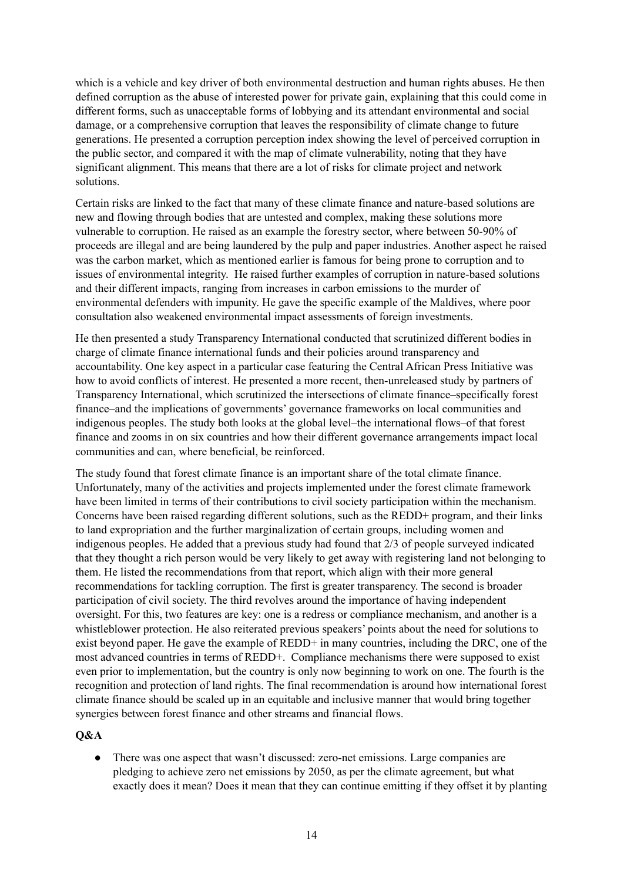which is a vehicle and key driver of both environmental destruction and human rights abuses. He then defined corruption as the abuse of interested power for private gain, explaining that this could come in different forms, such as unacceptable forms of lobbying and its attendant environmental and social damage, or a comprehensive corruption that leaves the responsibility of climate change to future generations. He presented a corruption perception index showing the level of perceived corruption in the public sector, and compared it with the map of climate vulnerability, noting that they have significant alignment. This means that there are a lot of risks for climate project and network solutions.

Certain risks are linked to the fact that many of these climate finance and nature-based solutions are new and flowing through bodies that are untested and complex, making these solutions more vulnerable to corruption. He raised as an example the forestry sector, where between 50-90% of proceeds are illegal and are being laundered by the pulp and paper industries. Another aspect he raised was the carbon market, which as mentioned earlier is famous for being prone to corruption and to issues of environmental integrity. He raised further examples of corruption in nature-based solutions and their different impacts, ranging from increases in carbon emissions to the murder of environmental defenders with impunity. He gave the specific example of the Maldives, where poor consultation also weakened environmental impact assessments of foreign investments.

He then presented a study Transparency International conducted that scrutinized different bodies in charge of climate finance international funds and their policies around transparency and accountability. One key aspect in a particular case featuring the Central African Press Initiative was how to avoid conflicts of interest. He presented a more recent, then-unreleased study by partners of Transparency International, which scrutinized the intersections of climate finance–specifically forest finance–and the implications of governments' governance frameworks on local communities and indigenous peoples. The study both looks at the global level–the international flows–of that forest finance and zooms in on six countries and how their different governance arrangements impact local communities and can, where beneficial, be reinforced.

The study found that forest climate finance is an important share of the total climate finance. Unfortunately, many of the activities and projects implemented under the forest climate framework have been limited in terms of their contributions to civil society participation within the mechanism. Concerns have been raised regarding different solutions, such as the REDD+ program, and their links to land expropriation and the further marginalization of certain groups, including women and indigenous peoples. He added that a previous study had found that 2/3 of people surveyed indicated that they thought a rich person would be very likely to get away with registering land not belonging to them. He listed the recommendations from that report, which align with their more general recommendations for tackling corruption. The first is greater transparency. The second is broader participation of civil society. The third revolves around the importance of having independent oversight. For this, two features are key: one is a redress or compliance mechanism, and another is a whistleblower protection. He also reiterated previous speakers' points about the need for solutions to exist beyond paper. He gave the example of REDD+ in many countries, including the DRC, one of the most advanced countries in terms of REDD+. Compliance mechanisms there were supposed to exist even prior to implementation, but the country is only now beginning to work on one. The fourth is the recognition and protection of land rights. The final recommendation is around how international forest climate finance should be scaled up in an equitable and inclusive manner that would bring together synergies between forest finance and other streams and financial flows.

## **Q&A**

● There was one aspect that wasn't discussed: zero-net emissions. Large companies are pledging to achieve zero net emissions by 2050, as per the climate agreement, but what exactly does it mean? Does it mean that they can continue emitting if they offset it by planting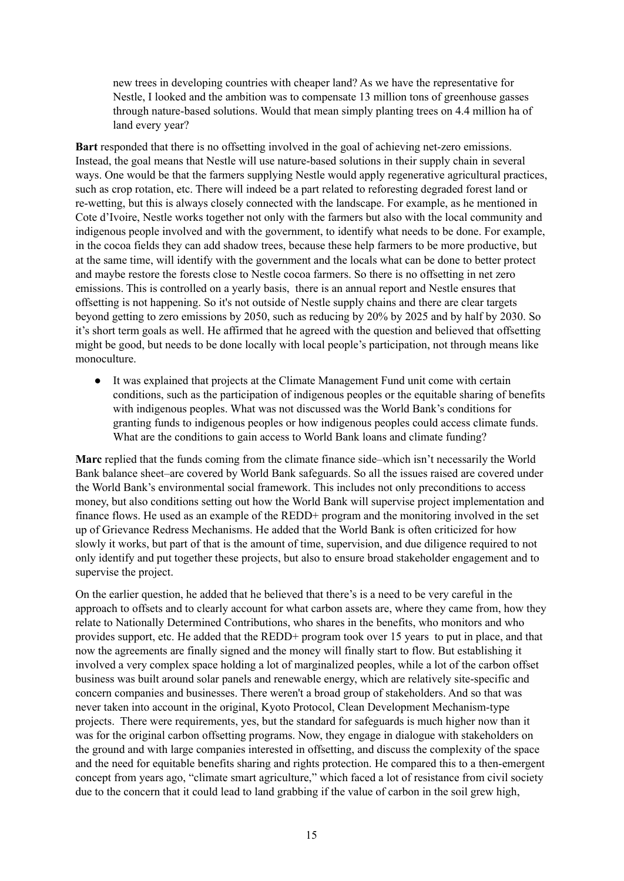new trees in developing countries with cheaper land? As we have the representative for Nestle, I looked and the ambition was to compensate 13 million tons of greenhouse gasses through nature-based solutions. Would that mean simply planting trees on 4.4 million ha of land every year?

**Bart** responded that there is no offsetting involved in the goal of achieving net-zero emissions. Instead, the goal means that Nestle will use nature-based solutions in their supply chain in several ways. One would be that the farmers supplying Nestle would apply regenerative agricultural practices, such as crop rotation, etc. There will indeed be a part related to reforesting degraded forest land or re-wetting, but this is always closely connected with the landscape. For example, as he mentioned in Cote d'Ivoire, Nestle works together not only with the farmers but also with the local community and indigenous people involved and with the government, to identify what needs to be done. For example, in the cocoa fields they can add shadow trees, because these help farmers to be more productive, but at the same time, will identify with the government and the locals what can be done to better protect and maybe restore the forests close to Nestle cocoa farmers. So there is no offsetting in net zero emissions. This is controlled on a yearly basis, there is an annual report and Nestle ensures that offsetting is not happening. So it's not outside of Nestle supply chains and there are clear targets beyond getting to zero emissions by 2050, such as reducing by 20% by 2025 and by half by 2030. So it's short term goals as well. He affirmed that he agreed with the question and believed that offsetting might be good, but needs to be done locally with local people's participation, not through means like monoculture.

● It was explained that projects at the Climate Management Fund unit come with certain conditions, such as the participation of indigenous peoples or the equitable sharing of benefits with indigenous peoples. What was not discussed was the World Bank's conditions for granting funds to indigenous peoples or how indigenous peoples could access climate funds. What are the conditions to gain access to World Bank loans and climate funding?

**Marc** replied that the funds coming from the climate finance side–which isn't necessarily the World Bank balance sheet–are covered by World Bank safeguards. So all the issues raised are covered under the World Bank's environmental social framework. This includes not only preconditions to access money, but also conditions setting out how the World Bank will supervise project implementation and finance flows. He used as an example of the REDD+ program and the monitoring involved in the set up of Grievance Redress Mechanisms. He added that the World Bank is often criticized for how slowly it works, but part of that is the amount of time, supervision, and due diligence required to not only identify and put together these projects, but also to ensure broad stakeholder engagement and to supervise the project.

On the earlier question, he added that he believed that there's is a need to be very careful in the approach to offsets and to clearly account for what carbon assets are, where they came from, how they relate to Nationally Determined Contributions, who shares in the benefits, who monitors and who provides support, etc. He added that the REDD+ program took over 15 years to put in place, and that now the agreements are finally signed and the money will finally start to flow. But establishing it involved a very complex space holding a lot of marginalized peoples, while a lot of the carbon offset business was built around solar panels and renewable energy, which are relatively site-specific and concern companies and businesses. There weren't a broad group of stakeholders. And so that was never taken into account in the original, Kyoto Protocol, Clean Development Mechanism-type projects. There were requirements, yes, but the standard for safeguards is much higher now than it was for the original carbon offsetting programs. Now, they engage in dialogue with stakeholders on the ground and with large companies interested in offsetting, and discuss the complexity of the space and the need for equitable benefits sharing and rights protection. He compared this to a then-emergent concept from years ago, "climate smart agriculture," which faced a lot of resistance from civil society due to the concern that it could lead to land grabbing if the value of carbon in the soil grew high,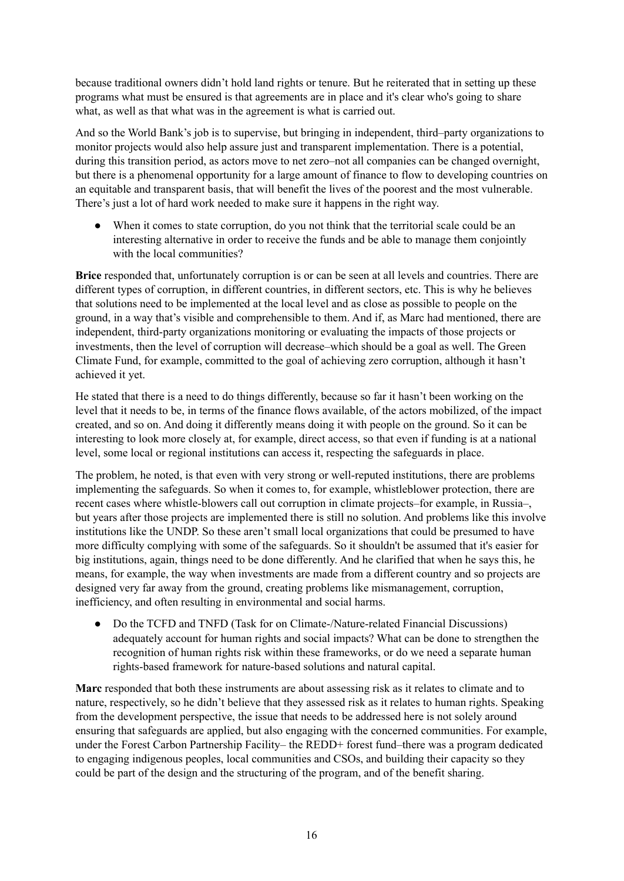because traditional owners didn't hold land rights or tenure. But he reiterated that in setting up these programs what must be ensured is that agreements are in place and it's clear who's going to share what, as well as that what was in the agreement is what is carried out.

And so the World Bank's job is to supervise, but bringing in independent, third–party organizations to monitor projects would also help assure just and transparent implementation. There is a potential, during this transition period, as actors move to net zero–not all companies can be changed overnight, but there is a phenomenal opportunity for a large amount of finance to flow to developing countries on an equitable and transparent basis, that will benefit the lives of the poorest and the most vulnerable. There's just a lot of hard work needed to make sure it happens in the right way.

When it comes to state corruption, do you not think that the territorial scale could be an interesting alternative in order to receive the funds and be able to manage them conjointly with the local communities?

**Brice** responded that, unfortunately corruption is or can be seen at all levels and countries. There are different types of corruption, in different countries, in different sectors, etc. This is why he believes that solutions need to be implemented at the local level and as close as possible to people on the ground, in a way that's visible and comprehensible to them. And if, as Marc had mentioned, there are independent, third-party organizations monitoring or evaluating the impacts of those projects or investments, then the level of corruption will decrease–which should be a goal as well. The Green Climate Fund, for example, committed to the goal of achieving zero corruption, although it hasn't achieved it yet.

He stated that there is a need to do things differently, because so far it hasn't been working on the level that it needs to be, in terms of the finance flows available, of the actors mobilized, of the impact created, and so on. And doing it differently means doing it with people on the ground. So it can be interesting to look more closely at, for example, direct access, so that even if funding is at a national level, some local or regional institutions can access it, respecting the safeguards in place.

The problem, he noted, is that even with very strong or well-reputed institutions, there are problems implementing the safeguards. So when it comes to, for example, whistleblower protection, there are recent cases where whistle-blowers call out corruption in climate projects–for example, in Russia–, but years after those projects are implemented there is still no solution. And problems like this involve institutions like the UNDP. So these aren't small local organizations that could be presumed to have more difficulty complying with some of the safeguards. So it shouldn't be assumed that it's easier for big institutions, again, things need to be done differently. And he clarified that when he says this, he means, for example, the way when investments are made from a different country and so projects are designed very far away from the ground, creating problems like mismanagement, corruption, inefficiency, and often resulting in environmental and social harms.

● Do the TCFD and TNFD (Task for on Climate-/Nature-related Financial Discussions) adequately account for human rights and social impacts? What can be done to strengthen the recognition of human rights risk within these frameworks, or do we need a separate human rights-based framework for nature-based solutions and natural capital.

**Marc** responded that both these instruments are about assessing risk as it relates to climate and to nature, respectively, so he didn't believe that they assessed risk as it relates to human rights. Speaking from the development perspective, the issue that needs to be addressed here is not solely around ensuring that safeguards are applied, but also engaging with the concerned communities. For example, under the Forest Carbon Partnership Facility– the REDD+ forest fund–there was a program dedicated to engaging indigenous peoples, local communities and CSOs, and building their capacity so they could be part of the design and the structuring of the program, and of the benefit sharing.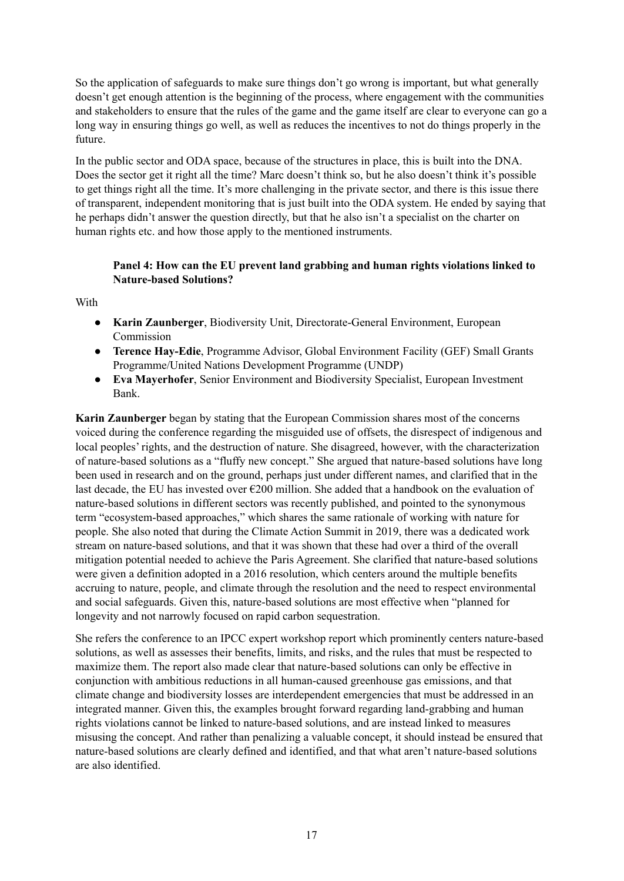So the application of safeguards to make sure things don't go wrong is important, but what generally doesn't get enough attention is the beginning of the process, where engagement with the communities and stakeholders to ensure that the rules of the game and the game itself are clear to everyone can go a long way in ensuring things go well, as well as reduces the incentives to not do things properly in the future.

In the public sector and ODA space, because of the structures in place, this is built into the DNA. Does the sector get it right all the time? Marc doesn't think so, but he also doesn't think it's possible to get things right all the time. It's more challenging in the private sector, and there is this issue there of transparent, independent monitoring that is just built into the ODA system. He ended by saying that he perhaps didn't answer the question directly, but that he also isn't a specialist on the charter on human rights etc. and how those apply to the mentioned instruments.

# **Panel 4: How can the EU prevent land grabbing and human rights violations linked to Nature-based Solutions?**

With

- **Karin Zaunberger**, Biodiversity Unit, Directorate-General Environment, European Commission
- **Terence Hay-Edie**, Programme Advisor, Global Environment Facility (GEF) Small Grants Programme/United Nations Development Programme (UNDP)
- **Eva Mayerhofer**, Senior Environment and Biodiversity Specialist, European Investment Bank.

**Karin Zaunberger** began by stating that the European Commission shares most of the concerns voiced during the conference regarding the misguided use of offsets, the disrespect of indigenous and local peoples' rights, and the destruction of nature. She disagreed, however, with the characterization of nature-based solutions as a "fluffy new concept." She argued that nature-based solutions have long been used in research and on the ground, perhaps just under different names, and clarified that in the last decade, the EU has invested over  $\epsilon$ 200 million. She added that a handbook on the evaluation of nature-based solutions in different sectors was recently published, and pointed to the synonymous term "ecosystem-based approaches," which shares the same rationale of working with nature for people. She also noted that during the Climate Action Summit in 2019, there was a dedicated work stream on nature-based solutions, and that it was shown that these had over a third of the overall mitigation potential needed to achieve the Paris Agreement. She clarified that nature-based solutions were given a definition adopted in a 2016 resolution, which centers around the multiple benefits accruing to nature, people, and climate through the resolution and the need to respect environmental and social safeguards. Given this, nature-based solutions are most effective when "planned for longevity and not narrowly focused on rapid carbon sequestration.

She refers the conference to an IPCC expert workshop report which prominently centers nature-based solutions, as well as assesses their benefits, limits, and risks, and the rules that must be respected to maximize them. The report also made clear that nature-based solutions can only be effective in conjunction with ambitious reductions in all human-caused greenhouse gas emissions, and that climate change and biodiversity losses are interdependent emergencies that must be addressed in an integrated manner. Given this, the examples brought forward regarding land-grabbing and human rights violations cannot be linked to nature-based solutions, and are instead linked to measures misusing the concept. And rather than penalizing a valuable concept, it should instead be ensured that nature-based solutions are clearly defined and identified, and that what aren't nature-based solutions are also identified.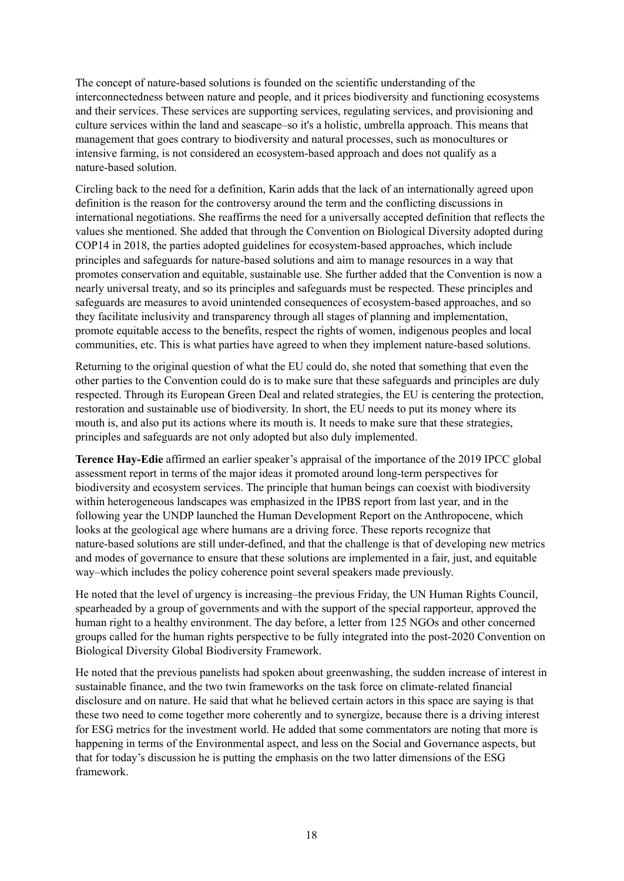The concept of nature-based solutions is founded on the scientific understanding of the interconnectedness between nature and people, and it prices biodiversity and functioning ecosystems and their services. These services are supporting services, regulating services, and provisioning and culture services within the land and seascape–so it's a holistic, umbrella approach. This means that management that goes contrary to biodiversity and natural processes, such as monocultures or intensive farming, is not considered an ecosystem-based approach and does not qualify as a nature-based solution.

Circling back to the need for a definition, Karin adds that the lack of an internationally agreed upon definition is the reason for the controversy around the term and the conflicting discussions in international negotiations. She reaffirms the need for a universally accepted definition that reflects the values she mentioned. She added that through the Convention on Biological Diversity adopted during COP14 in 2018, the parties adopted guidelines for ecosystem-based approaches, which include principles and safeguards for nature-based solutions and aim to manage resources in a way that promotes conservation and equitable, sustainable use. She further added that the Convention is now a nearly universal treaty, and so its principles and safeguards must be respected. These principles and safeguards are measures to avoid unintended consequences of ecosystem-based approaches, and so they facilitate inclusivity and transparency through all stages of planning and implementation, promote equitable access to the benefits, respect the rights of women, indigenous peoples and local communities, etc. This is what parties have agreed to when they implement nature-based solutions.

Returning to the original question of what the EU could do, she noted that something that even the other parties to the Convention could do is to make sure that these safeguards and principles are duly respected. Through its European Green Deal and related strategies, the EU is centering the protection, restoration and sustainable use of biodiversity. In short, the EU needs to put its money where its mouth is, and also put its actions where its mouth is. It needs to make sure that these strategies, principles and safeguards are not only adopted but also duly implemented.

**Terence Hay-Edie** affirmed an earlier speaker's appraisal of the importance of the 2019 IPCC global assessment report in terms of the major ideas it promoted around long-term perspectives for biodiversity and ecosystem services. The principle that human beings can coexist with biodiversity within heterogeneous landscapes was emphasized in the IPBS report from last year, and in the following year the UNDP launched the Human Development Report on the Anthropocene, which looks at the geological age where humans are a driving force. These reports recognize that nature-based solutions are still under-defined, and that the challenge is that of developing new metrics and modes of governance to ensure that these solutions are implemented in a fair, just, and equitable way–which includes the policy coherence point several speakers made previously.

He noted that the level of urgency is increasing–the previous Friday, the UN Human Rights Council, spearheaded by a group of governments and with the support of the special rapporteur, approved the human right to a healthy environment. The day before, a letter from 125 NGOs and other concerned groups called for the human rights perspective to be fully integrated into the post-2020 Convention on Biological Diversity Global Biodiversity Framework.

He noted that the previous panelists had spoken about greenwashing, the sudden increase of interest in sustainable finance, and the two twin frameworks on the task force on climate-related financial disclosure and on nature. He said that what he believed certain actors in this space are saying is that these two need to come together more coherently and to synergize, because there is a driving interest for ESG metrics for the investment world. He added that some commentators are noting that more is happening in terms of the Environmental aspect, and less on the Social and Governance aspects, but that for today's discussion he is putting the emphasis on the two latter dimensions of the ESG framework.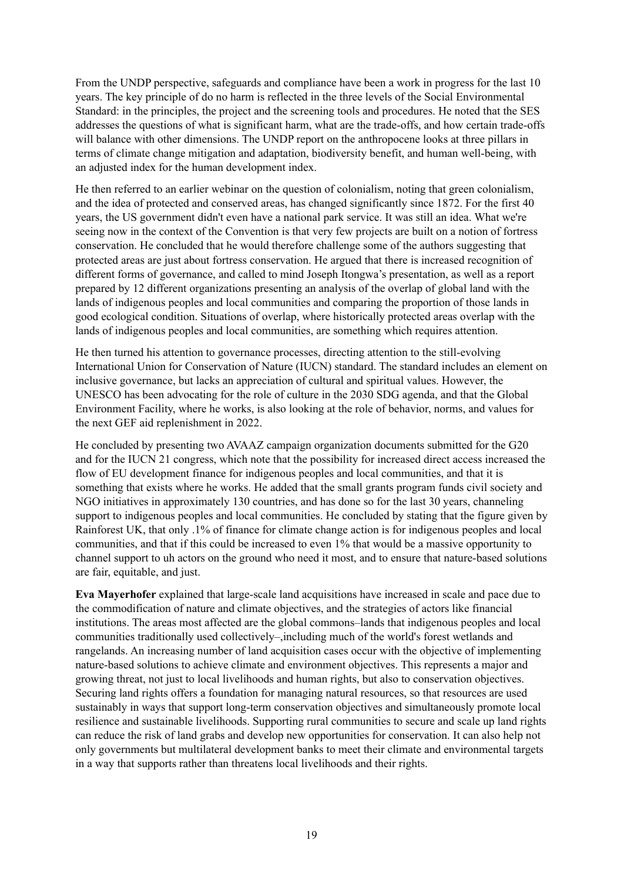From the UNDP perspective, safeguards and compliance have been a work in progress for the last 10 years. The key principle of do no harm is reflected in the three levels of the Social Environmental Standard: in the principles, the project and the screening tools and procedures. He noted that the SES addresses the questions of what is significant harm, what are the trade-offs, and how certain trade-offs will balance with other dimensions. The UNDP report on the anthropocene looks at three pillars in terms of climate change mitigation and adaptation, biodiversity benefit, and human well-being, with an adjusted index for the human development index.

He then referred to an earlier webinar on the question of colonialism, noting that green colonialism, and the idea of protected and conserved areas, has changed significantly since 1872. For the first 40 years, the US government didn't even have a national park service. It was still an idea. What we're seeing now in the context of the Convention is that very few projects are built on a notion of fortress conservation. He concluded that he would therefore challenge some of the authors suggesting that protected areas are just about fortress conservation. He argued that there is increased recognition of different forms of governance, and called to mind Joseph Itongwa's presentation, as well as a report prepared by 12 different organizations presenting an analysis of the overlap of global land with the lands of indigenous peoples and local communities and comparing the proportion of those lands in good ecological condition. Situations of overlap, where historically protected areas overlap with the lands of indigenous peoples and local communities, are something which requires attention.

He then turned his attention to governance processes, directing attention to the still-evolving International Union for Conservation of Nature (IUCN) standard. The standard includes an element on inclusive governance, but lacks an appreciation of cultural and spiritual values. However, the UNESCO has been advocating for the role of culture in the 2030 SDG agenda, and that the Global Environment Facility, where he works, is also looking at the role of behavior, norms, and values for the next GEF aid replenishment in 2022.

He concluded by presenting two AVAAZ campaign organization documents submitted for the G20 and for the IUCN 21 congress, which note that the possibility for increased direct access increased the flow of EU development finance for indigenous peoples and local communities, and that it is something that exists where he works. He added that the small grants program funds civil society and NGO initiatives in approximately 130 countries, and has done so for the last 30 years, channeling support to indigenous peoples and local communities. He concluded by stating that the figure given by Rainforest UK, that only .1% of finance for climate change action is for indigenous peoples and local communities, and that if this could be increased to even 1% that would be a massive opportunity to channel support to uh actors on the ground who need it most, and to ensure that nature-based solutions are fair, equitable, and just.

**Eva Mayerhofer** explained that large-scale land acquisitions have increased in scale and pace due to the commodification of nature and climate objectives, and the strategies of actors like financial institutions. The areas most affected are the global commons–lands that indigenous peoples and local communities traditionally used collectively–,including much of the world's forest wetlands and rangelands. An increasing number of land acquisition cases occur with the objective of implementing nature-based solutions to achieve climate and environment objectives. This represents a major and growing threat, not just to local livelihoods and human rights, but also to conservation objectives. Securing land rights offers a foundation for managing natural resources, so that resources are used sustainably in ways that support long-term conservation objectives and simultaneously promote local resilience and sustainable livelihoods. Supporting rural communities to secure and scale up land rights can reduce the risk of land grabs and develop new opportunities for conservation. It can also help not only governments but multilateral development banks to meet their climate and environmental targets in a way that supports rather than threatens local livelihoods and their rights.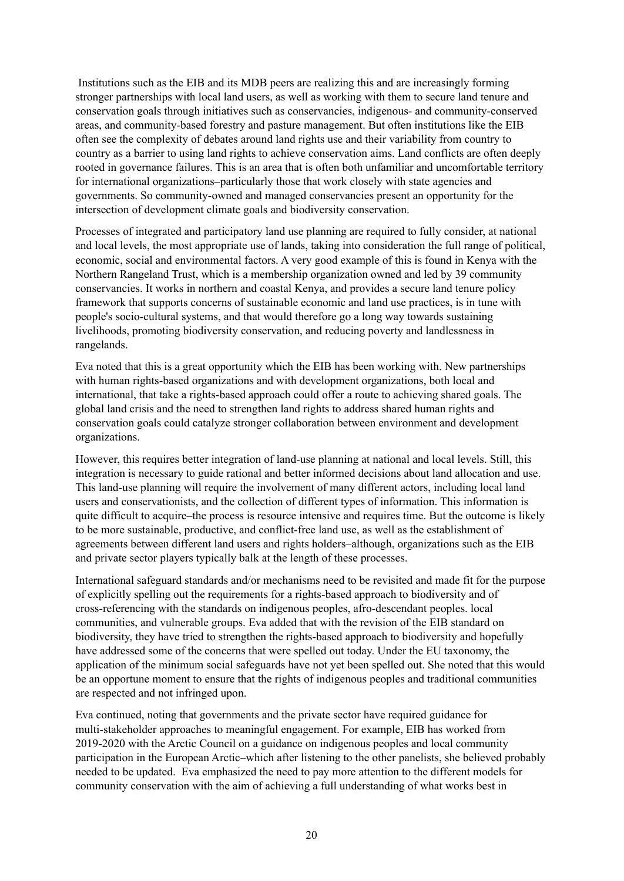Institutions such as the EIB and its MDB peers are realizing this and are increasingly forming stronger partnerships with local land users, as well as working with them to secure land tenure and conservation goals through initiatives such as conservancies, indigenous- and community-conserved areas, and community-based forestry and pasture management. But often institutions like the EIB often see the complexity of debates around land rights use and their variability from country to country as a barrier to using land rights to achieve conservation aims. Land conflicts are often deeply rooted in governance failures. This is an area that is often both unfamiliar and uncomfortable territory for international organizations–particularly those that work closely with state agencies and governments. So community-owned and managed conservancies present an opportunity for the intersection of development climate goals and biodiversity conservation.

Processes of integrated and participatory land use planning are required to fully consider, at national and local levels, the most appropriate use of lands, taking into consideration the full range of political, economic, social and environmental factors. A very good example of this is found in Kenya with the Northern Rangeland Trust, which is a membership organization owned and led by 39 community conservancies. It works in northern and coastal Kenya, and provides a secure land tenure policy framework that supports concerns of sustainable economic and land use practices, is in tune with people's socio-cultural systems, and that would therefore go a long way towards sustaining livelihoods, promoting biodiversity conservation, and reducing poverty and landlessness in rangelands.

Eva noted that this is a great opportunity which the EIB has been working with. New partnerships with human rights-based organizations and with development organizations, both local and international, that take a rights-based approach could offer a route to achieving shared goals. The global land crisis and the need to strengthen land rights to address shared human rights and conservation goals could catalyze stronger collaboration between environment and development organizations.

However, this requires better integration of land-use planning at national and local levels. Still, this integration is necessary to guide rational and better informed decisions about land allocation and use. This land-use planning will require the involvement of many different actors, including local land users and conservationists, and the collection of different types of information. This information is quite difficult to acquire–the process is resource intensive and requires time. But the outcome is likely to be more sustainable, productive, and conflict-free land use, as well as the establishment of agreements between different land users and rights holders–although, organizations such as the EIB and private sector players typically balk at the length of these processes.

International safeguard standards and/or mechanisms need to be revisited and made fit for the purpose of explicitly spelling out the requirements for a rights-based approach to biodiversity and of cross-referencing with the standards on indigenous peoples, afro-descendant peoples. local communities, and vulnerable groups. Eva added that with the revision of the EIB standard on biodiversity, they have tried to strengthen the rights-based approach to biodiversity and hopefully have addressed some of the concerns that were spelled out today. Under the EU taxonomy, the application of the minimum social safeguards have not yet been spelled out. She noted that this would be an opportune moment to ensure that the rights of indigenous peoples and traditional communities are respected and not infringed upon.

Eva continued, noting that governments and the private sector have required guidance for multi-stakeholder approaches to meaningful engagement. For example, EIB has worked from 2019-2020 with the Arctic Council on a guidance on indigenous peoples and local community participation in the European Arctic–which after listening to the other panelists, she believed probably needed to be updated. Eva emphasized the need to pay more attention to the different models for community conservation with the aim of achieving a full understanding of what works best in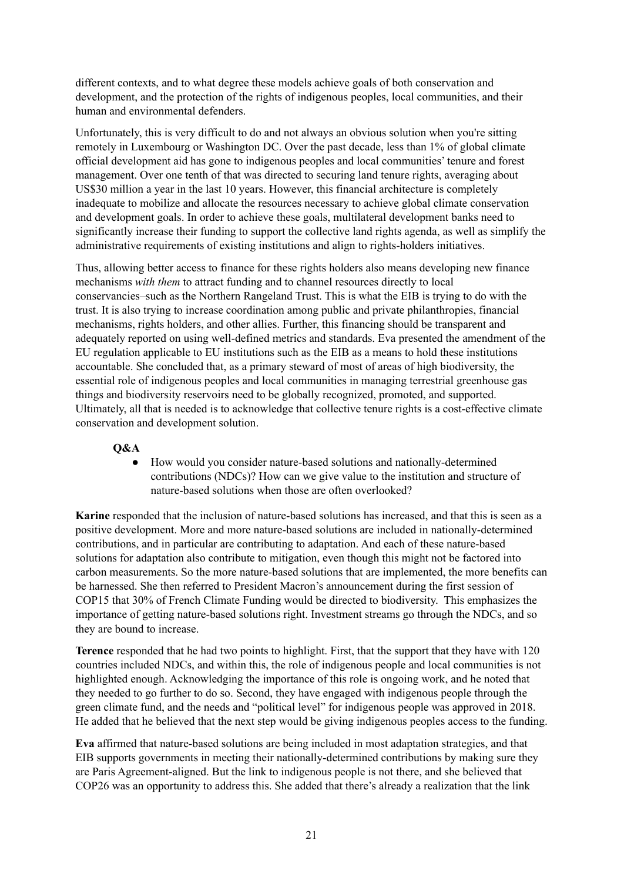different contexts, and to what degree these models achieve goals of both conservation and development, and the protection of the rights of indigenous peoples, local communities, and their human and environmental defenders.

Unfortunately, this is very difficult to do and not always an obvious solution when you're sitting remotely in Luxembourg or Washington DC. Over the past decade, less than 1% of global climate official development aid has gone to indigenous peoples and local communities' tenure and forest management. Over one tenth of that was directed to securing land tenure rights, averaging about US\$30 million a year in the last 10 years. However, this financial architecture is completely inadequate to mobilize and allocate the resources necessary to achieve global climate conservation and development goals. In order to achieve these goals, multilateral development banks need to significantly increase their funding to support the collective land rights agenda, as well as simplify the administrative requirements of existing institutions and align to rights-holders initiatives.

Thus, allowing better access to finance for these rights holders also means developing new finance mechanisms *with them* to attract funding and to channel resources directly to local conservancies–such as the Northern Rangeland Trust. This is what the EIB is trying to do with the trust. It is also trying to increase coordination among public and private philanthropies, financial mechanisms, rights holders, and other allies. Further, this financing should be transparent and adequately reported on using well-defined metrics and standards. Eva presented the amendment of the EU regulation applicable to EU institutions such as the EIB as a means to hold these institutions accountable. She concluded that, as a primary steward of most of areas of high biodiversity, the essential role of indigenous peoples and local communities in managing terrestrial greenhouse gas things and biodiversity reservoirs need to be globally recognized, promoted, and supported. Ultimately, all that is needed is to acknowledge that collective tenure rights is a cost-effective climate conservation and development solution.

## **Q&A**

● How would you consider nature-based solutions and nationally-determined contributions (NDCs)? How can we give value to the institution and structure of nature-based solutions when those are often overlooked?

**Karine** responded that the inclusion of nature-based solutions has increased, and that this is seen as a positive development. More and more nature-based solutions are included in nationally-determined contributions, and in particular are contributing to adaptation. And each of these nature-based solutions for adaptation also contribute to mitigation, even though this might not be factored into carbon measurements. So the more nature-based solutions that are implemented, the more benefits can be harnessed. She then referred to President Macron's announcement during the first session of COP15 that 30% of French Climate Funding would be directed to biodiversity. This emphasizes the importance of getting nature-based solutions right. Investment streams go through the NDCs, and so they are bound to increase.

**Terence** responded that he had two points to highlight. First, that the support that they have with 120 countries included NDCs, and within this, the role of indigenous people and local communities is not highlighted enough. Acknowledging the importance of this role is ongoing work, and he noted that they needed to go further to do so. Second, they have engaged with indigenous people through the green climate fund, and the needs and "political level" for indigenous people was approved in 2018. He added that he believed that the next step would be giving indigenous peoples access to the funding.

**Eva** affirmed that nature-based solutions are being included in most adaptation strategies, and that EIB supports governments in meeting their nationally-determined contributions by making sure they are Paris Agreement-aligned. But the link to indigenous people is not there, and she believed that COP26 was an opportunity to address this. She added that there's already a realization that the link